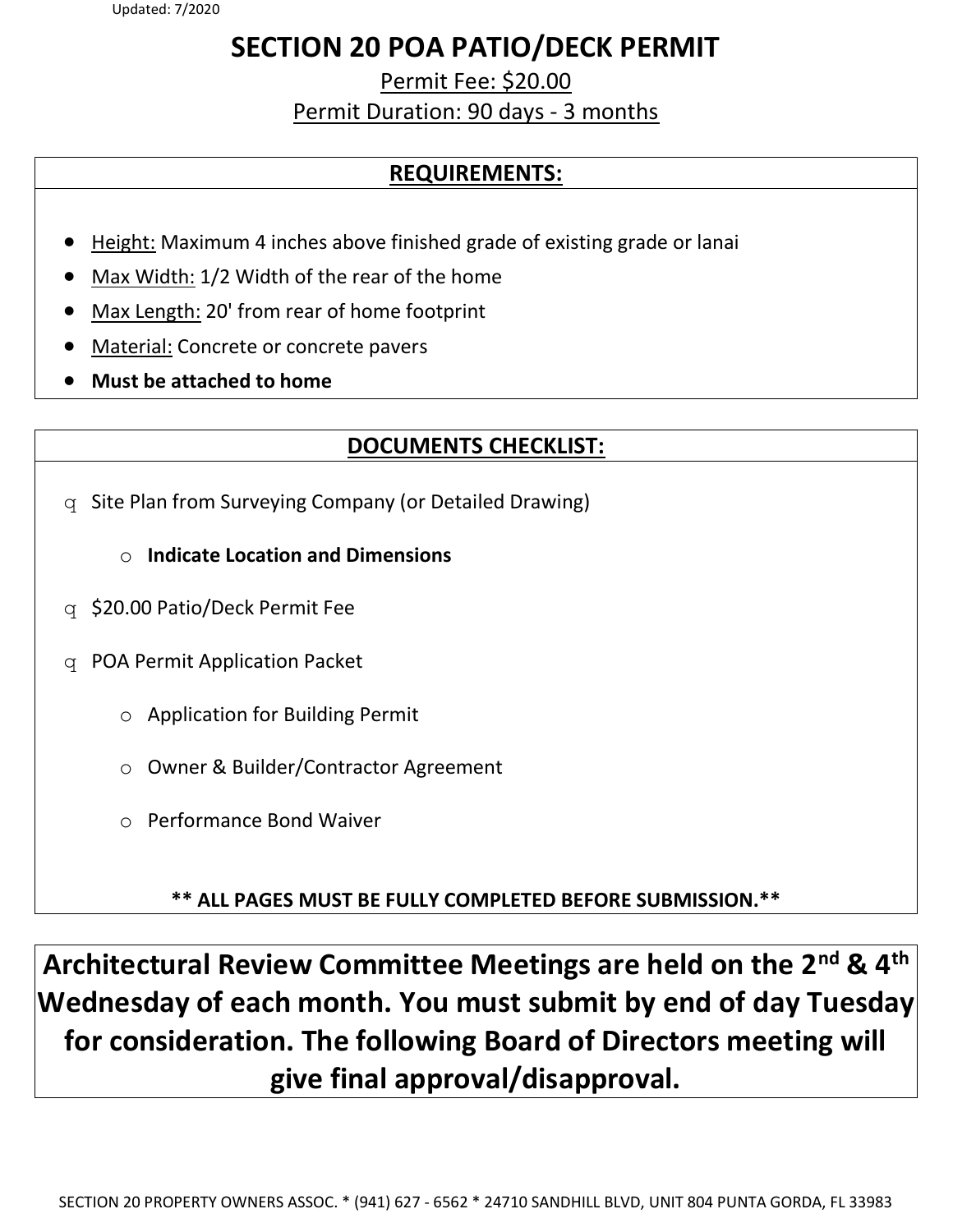# SECTION 20 POA PATIO/DECK PERMIT

Permit Fee: \$20.00 Permit Duration: 90 days - 3 months

# REQUIREMENTS:

- Height: Maximum 4 inches above finished grade of existing grade or lanai
- Max Width: 1/2 Width of the rear of the home
- Max Length: 20' from rear of home footprint
- Material: Concrete or concrete pavers
- Must be attached to home

# DOCUMENTS CHECKLIST:

- q Site Plan from Surveying Company (or Detailed Drawing)
	- $\circ$  Indicate Location and Dimensions
- q \$20.00 Patio/Deck Permit Fee
- q POA Permit Application Packet
	- o Application for Building Permit
	- o Owner & Builder/Contractor Agreement
	- o Performance Bond Waiver

\*\* ALL PAGES MUST BE FULLY COMPLETED BEFORE SUBMISSION.\*\*

Architectural Review Committee Meetings are held on the 2<sup>nd</sup> & 4<sup>th</sup> Wednesday of each month. You must submit by end of day Tuesday for consideration. The following Board of Directors meeting will give final approval/disapproval.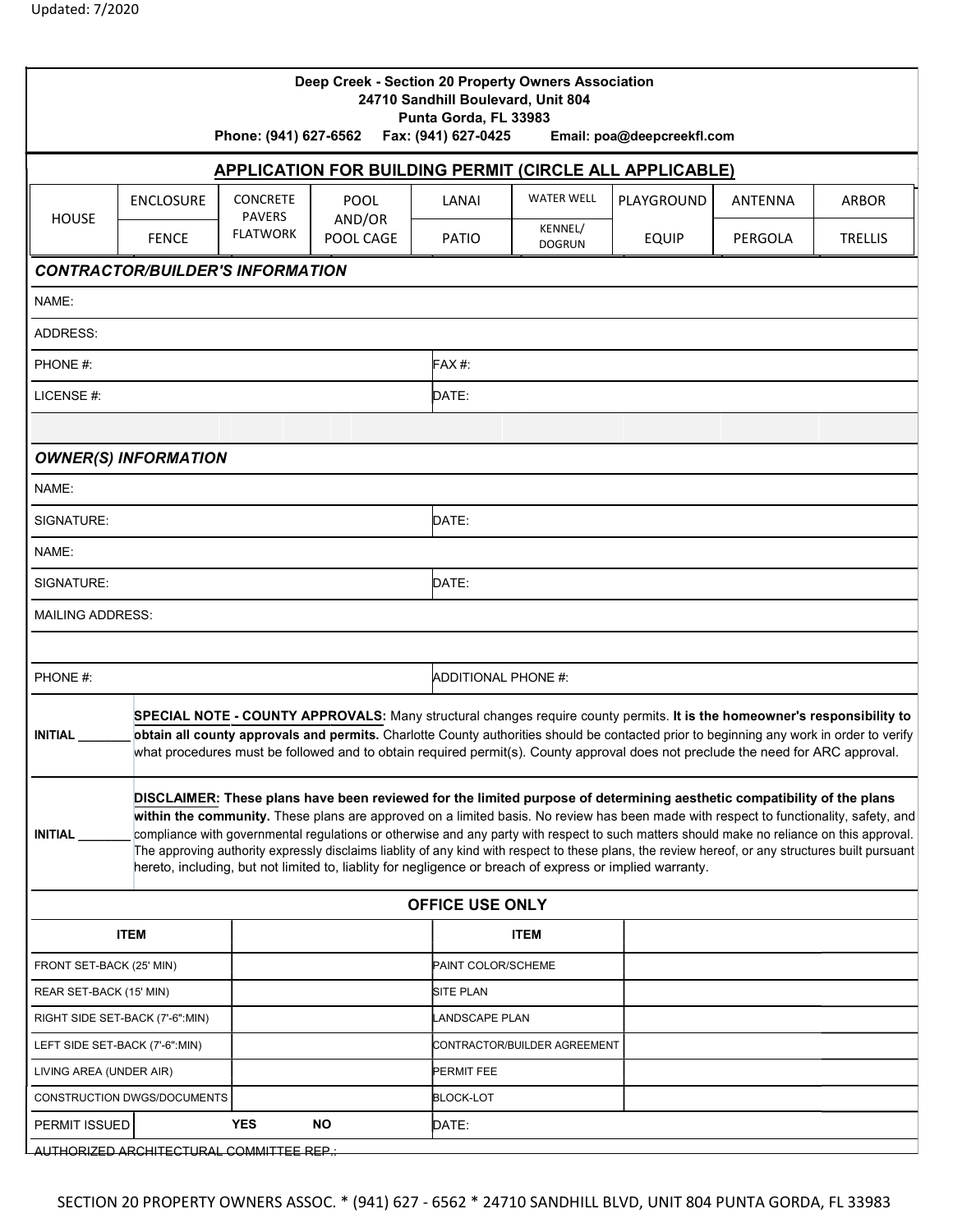|                                                            |                                                                                                                                                                                                                                                                                                                                                                                                         | Phone: (941) 627-6562                               | Deep Creek - Section 20 Property Owners Association                                                                                                                                                                                                                                                                                                                                                                                                                                                                                                                                                                                                                            | Punta Gorda, FL 33983<br>Fax: (941) 627-0425 | 24710 Sandhill Boulevard, Unit 804 | Email: poa@deepcreekfl.com |         |                |  |
|------------------------------------------------------------|---------------------------------------------------------------------------------------------------------------------------------------------------------------------------------------------------------------------------------------------------------------------------------------------------------------------------------------------------------------------------------------------------------|-----------------------------------------------------|--------------------------------------------------------------------------------------------------------------------------------------------------------------------------------------------------------------------------------------------------------------------------------------------------------------------------------------------------------------------------------------------------------------------------------------------------------------------------------------------------------------------------------------------------------------------------------------------------------------------------------------------------------------------------------|----------------------------------------------|------------------------------------|----------------------------|---------|----------------|--|
|                                                            |                                                                                                                                                                                                                                                                                                                                                                                                         |                                                     | APPLICATION FOR BUILDING PERMIT (CIRCLE ALL APPLICABLE)                                                                                                                                                                                                                                                                                                                                                                                                                                                                                                                                                                                                                        |                                              |                                    |                            |         |                |  |
| <b>HOUSE</b>                                               | <b>ENCLOSURE</b>                                                                                                                                                                                                                                                                                                                                                                                        | <b>CONCRETE</b><br><b>PAVERS</b><br><b>FLATWORK</b> | <b>POOL</b><br>AND/OR<br>POOL CAGE                                                                                                                                                                                                                                                                                                                                                                                                                                                                                                                                                                                                                                             | LANAI                                        | <b>WATER WELL</b>                  | PLAYGROUND                 | ANTENNA | <b>ARBOR</b>   |  |
|                                                            | <b>FENCE</b>                                                                                                                                                                                                                                                                                                                                                                                            |                                                     |                                                                                                                                                                                                                                                                                                                                                                                                                                                                                                                                                                                                                                                                                | PATIO                                        | KENNEL/<br><b>DOGRUN</b>           | <b>EQUIP</b>               | PERGOLA | <b>TRELLIS</b> |  |
| <b>CONTRACTOR/BUILDER'S INFORMATION</b>                    |                                                                                                                                                                                                                                                                                                                                                                                                         |                                                     |                                                                                                                                                                                                                                                                                                                                                                                                                                                                                                                                                                                                                                                                                |                                              |                                    |                            |         |                |  |
| NAME:                                                      |                                                                                                                                                                                                                                                                                                                                                                                                         |                                                     |                                                                                                                                                                                                                                                                                                                                                                                                                                                                                                                                                                                                                                                                                |                                              |                                    |                            |         |                |  |
| ADDRESS:                                                   |                                                                                                                                                                                                                                                                                                                                                                                                         |                                                     |                                                                                                                                                                                                                                                                                                                                                                                                                                                                                                                                                                                                                                                                                |                                              |                                    |                            |         |                |  |
| PHONE #:                                                   |                                                                                                                                                                                                                                                                                                                                                                                                         |                                                     |                                                                                                                                                                                                                                                                                                                                                                                                                                                                                                                                                                                                                                                                                | $FAX#$ :                                     |                                    |                            |         |                |  |
| LICENSE #:                                                 |                                                                                                                                                                                                                                                                                                                                                                                                         |                                                     |                                                                                                                                                                                                                                                                                                                                                                                                                                                                                                                                                                                                                                                                                | DATE:                                        |                                    |                            |         |                |  |
|                                                            |                                                                                                                                                                                                                                                                                                                                                                                                         |                                                     |                                                                                                                                                                                                                                                                                                                                                                                                                                                                                                                                                                                                                                                                                |                                              |                                    |                            |         |                |  |
| <b>OWNER(S) INFORMATION</b>                                |                                                                                                                                                                                                                                                                                                                                                                                                         |                                                     |                                                                                                                                                                                                                                                                                                                                                                                                                                                                                                                                                                                                                                                                                |                                              |                                    |                            |         |                |  |
| NAME:                                                      |                                                                                                                                                                                                                                                                                                                                                                                                         |                                                     |                                                                                                                                                                                                                                                                                                                                                                                                                                                                                                                                                                                                                                                                                |                                              |                                    |                            |         |                |  |
| SIGNATURE:                                                 |                                                                                                                                                                                                                                                                                                                                                                                                         |                                                     |                                                                                                                                                                                                                                                                                                                                                                                                                                                                                                                                                                                                                                                                                | DATE:                                        |                                    |                            |         |                |  |
| NAME:                                                      |                                                                                                                                                                                                                                                                                                                                                                                                         |                                                     |                                                                                                                                                                                                                                                                                                                                                                                                                                                                                                                                                                                                                                                                                |                                              |                                    |                            |         |                |  |
| SIGNATURE:                                                 |                                                                                                                                                                                                                                                                                                                                                                                                         |                                                     |                                                                                                                                                                                                                                                                                                                                                                                                                                                                                                                                                                                                                                                                                | DATE:                                        |                                    |                            |         |                |  |
| <b>MAILING ADDRESS:</b>                                    |                                                                                                                                                                                                                                                                                                                                                                                                         |                                                     |                                                                                                                                                                                                                                                                                                                                                                                                                                                                                                                                                                                                                                                                                |                                              |                                    |                            |         |                |  |
|                                                            |                                                                                                                                                                                                                                                                                                                                                                                                         |                                                     |                                                                                                                                                                                                                                                                                                                                                                                                                                                                                                                                                                                                                                                                                |                                              |                                    |                            |         |                |  |
| PHONE #:                                                   |                                                                                                                                                                                                                                                                                                                                                                                                         |                                                     |                                                                                                                                                                                                                                                                                                                                                                                                                                                                                                                                                                                                                                                                                |                                              | <b>ADDITIONAL PHONE #:</b>         |                            |         |                |  |
| <b>INITIAL</b>                                             | SPECIAL NOTE - COUNTY APPROVALS: Many structural changes require county permits. It is the homeowner's responsibility to<br>obtain all county approvals and permits. Charlotte County authorities should be contacted prior to beginning any work in order to verify<br>what procedures must be followed and to obtain required permit(s). County approval does not preclude the need for ARC approval. |                                                     |                                                                                                                                                                                                                                                                                                                                                                                                                                                                                                                                                                                                                                                                                |                                              |                                    |                            |         |                |  |
| INITIAL                                                    |                                                                                                                                                                                                                                                                                                                                                                                                         |                                                     | DISCLAIMER: These plans have been reviewed for the limited purpose of determining aesthetic compatibility of the plans<br>within the community. These plans are approved on a limited basis. No review has been made with respect to functionality, safety, and<br>compliance with governmental regulations or otherwise and any party with respect to such matters should make no reliance on this approval.<br>The approving authority expressly disclaims liablity of any kind with respect to these plans, the review hereof, or any structures built pursuant<br>hereto, including, but not limited to, liablity for negligence or breach of express or implied warranty. |                                              |                                    |                            |         |                |  |
|                                                            |                                                                                                                                                                                                                                                                                                                                                                                                         |                                                     |                                                                                                                                                                                                                                                                                                                                                                                                                                                                                                                                                                                                                                                                                | <b>OFFICE USE ONLY</b>                       |                                    |                            |         |                |  |
| <b>ITEM</b>                                                |                                                                                                                                                                                                                                                                                                                                                                                                         |                                                     |                                                                                                                                                                                                                                                                                                                                                                                                                                                                                                                                                                                                                                                                                | <b>ITEM</b>                                  |                                    |                            |         |                |  |
| FRONT SET-BACK (25' MIN)                                   |                                                                                                                                                                                                                                                                                                                                                                                                         |                                                     |                                                                                                                                                                                                                                                                                                                                                                                                                                                                                                                                                                                                                                                                                | PAINT COLOR/SCHEME                           |                                    |                            |         |                |  |
| REAR SET-BACK (15' MIN)                                    |                                                                                                                                                                                                                                                                                                                                                                                                         |                                                     | SITE PLAN                                                                                                                                                                                                                                                                                                                                                                                                                                                                                                                                                                                                                                                                      |                                              |                                    |                            |         |                |  |
| RIGHT SIDE SET-BACK (7'-6":MIN)                            |                                                                                                                                                                                                                                                                                                                                                                                                         |                                                     |                                                                                                                                                                                                                                                                                                                                                                                                                                                                                                                                                                                                                                                                                | LANDSCAPE PLAN                               |                                    |                            |         |                |  |
| LEFT SIDE SET-BACK (7'-6":MIN)                             |                                                                                                                                                                                                                                                                                                                                                                                                         |                                                     |                                                                                                                                                                                                                                                                                                                                                                                                                                                                                                                                                                                                                                                                                | CONTRACTOR/BUILDER AGREEMENT                 |                                    |                            |         |                |  |
| LIVING AREA (UNDER AIR)                                    |                                                                                                                                                                                                                                                                                                                                                                                                         |                                                     | PERMIT FEE                                                                                                                                                                                                                                                                                                                                                                                                                                                                                                                                                                                                                                                                     |                                              |                                    |                            |         |                |  |
| CONSTRUCTION DWGS/DOCUMENTS<br>PERMIT ISSUED<br><b>YES</b> |                                                                                                                                                                                                                                                                                                                                                                                                         |                                                     | <b>NO</b>                                                                                                                                                                                                                                                                                                                                                                                                                                                                                                                                                                                                                                                                      | <b>BLOCK-LOT</b><br>DATE:                    |                                    |                            |         |                |  |
| AUTHORIZED ARCHITECTURAL COMMITTEE REP.:                   |                                                                                                                                                                                                                                                                                                                                                                                                         |                                                     |                                                                                                                                                                                                                                                                                                                                                                                                                                                                                                                                                                                                                                                                                |                                              |                                    |                            |         |                |  |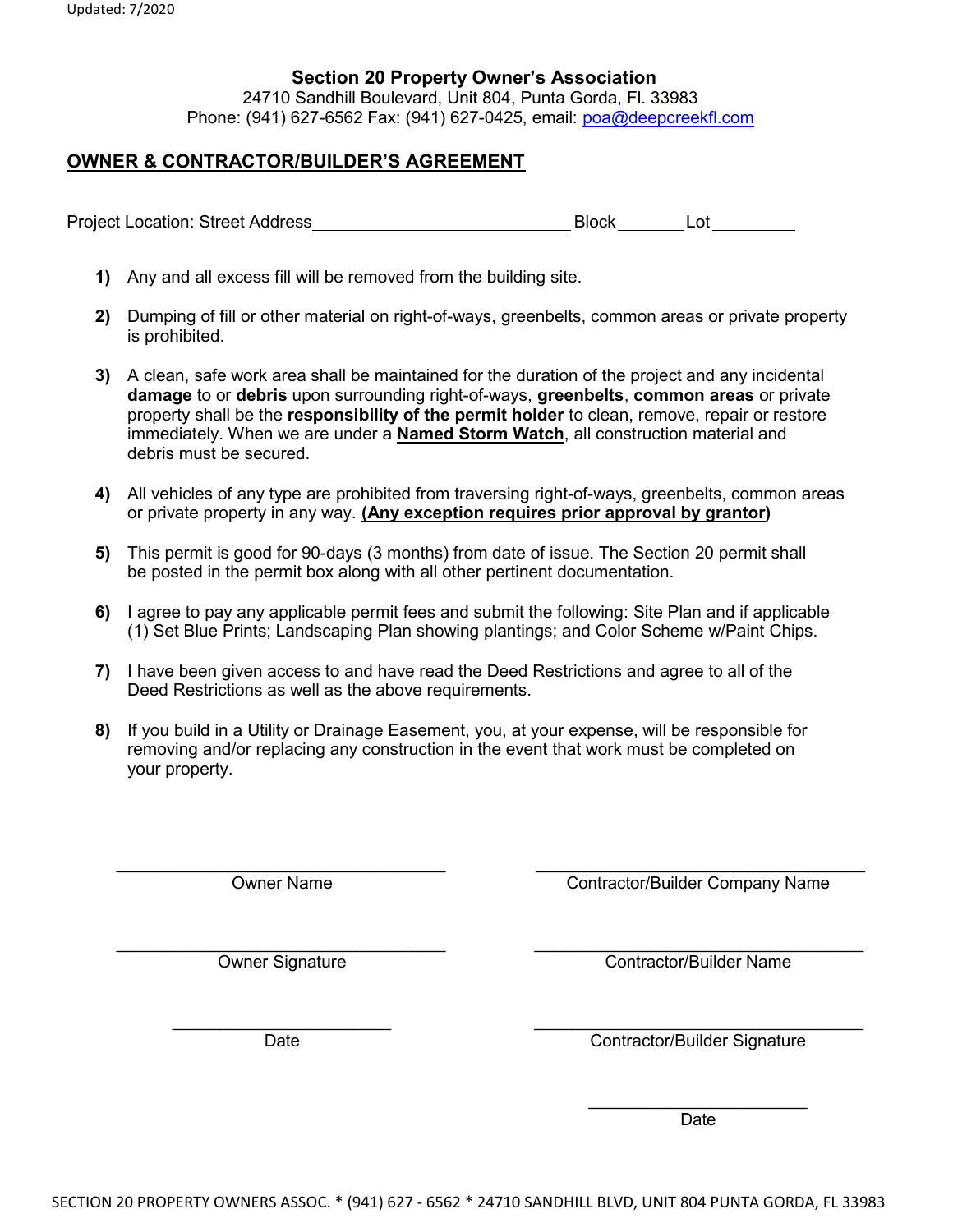#### Section 20 Property Owner's Association

24710 Sandhill Boulevard, Unit 804, Punta Gorda, Fl. 33983 Phone: (941) 627-6562 Fax: (941) 627-0425, email: poa@deepcreekfl.com

### OWNER & CONTRACTOR/BUILDER'S AGREEMENT

Project Location: Street Address Block Block Lot

- 1) Any and all excess fill will be removed from the building site.
- 2) Dumping of fill or other material on right-of-ways, greenbelts, common areas or private property is prohibited.
- 3) A clean, safe work area shall be maintained for the duration of the project and any incidental damage to or debris upon surrounding right-of-ways, greenbelts, common areas or private property shall be the responsibility of the permit holder to clean, remove, repair or restore immediately. When we are under a **Named Storm Watch**, all construction material and debris must be secured.
- 4) All vehicles of any type are prohibited from traversing right-of-ways, greenbelts, common areas or private property in any way. (Any exception requires prior approval by grantor)
- 5) This permit is good for 90-days (3 months) from date of issue. The Section 20 permit shall be posted in the permit box along with all other pertinent documentation.
- 6) I agree to pay any applicable permit fees and submit the following: Site Plan and if applicable (1) Set Blue Prints; Landscaping Plan showing plantings; and Color Scheme w/Paint Chips.
- 7) I have been given access to and have read the Deed Restrictions and agree to all of the Deed Restrictions as well as the above requirements.
- 8) If you build in a Utility or Drainage Easement, you, at your expense, will be responsible for removing and/or replacing any construction in the event that work must be completed on your property.

 $\_$  , and the contribution of the contribution of  $\_$  . The contribution of  $\_$  ,  $\_$  ,  $\_$  ,  $\_$  ,  $\_$  ,  $\_$  ,  $\_$  ,  $\_$  ,  $\_$  ,  $\_$  ,  $\_$  ,  $\_$  ,  $\_$  ,  $\_$  ,  $\_$  ,  $\_$  ,  $\_$  ,  $\_$  ,  $\_$  ,  $\_$  ,  $\_$  ,  $\_$  ,  $\_$  ,  $\_$  , Owner Name Contractor/Builder Company Name \_\_\_\_\_\_\_\_\_\_\_\_\_\_\_\_\_\_\_\_\_\_\_\_\_\_\_\_\_\_\_\_\_\_\_ \_\_\_\_\_\_\_\_\_\_\_\_\_\_\_\_\_\_\_\_\_\_\_\_\_\_\_\_\_\_\_\_\_\_\_

Owner Signature Contractor/Builder Name

Date Contractor/Builder Signature

 $\overline{\phantom{a}}$  , where  $\overline{\phantom{a}}$ Date